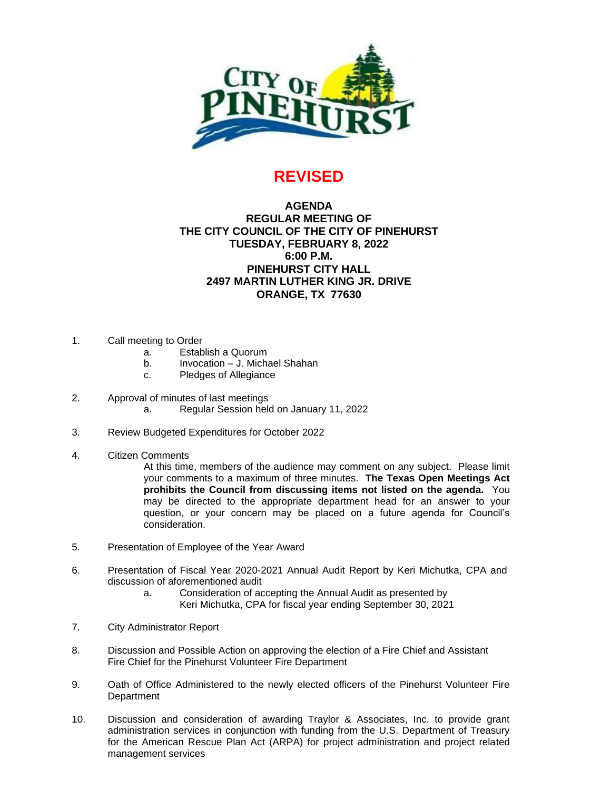

## **REVISED**

## **AGENDA REGULAR MEETING OF THE CITY COUNCIL OF THE CITY OF PINEHURST TUESDAY, FEBRUARY 8, 2022 6:00 P.M. PINEHURST CITY HALL 2497 MARTIN LUTHER KING JR. DRIVE ORANGE, TX 77630**

- 1. Call meeting to Order
	- a. Establish a Quorum
	- b. Invocation J. Michael Shahan
	- c. Pledges of Allegiance
- 2. Approval of minutes of last meetings
	- a. Regular Session held on January 11, 2022
- 3. Review Budgeted Expenditures for October 2022
- 4. Citizen Comments

At this time, members of the audience may comment on any subject. Please limit your comments to a maximum of three minutes. **The Texas Open Meetings Act prohibits the Council from discussing items not listed on the agenda.** You may be directed to the appropriate department head for an answer to your question, or your concern may be placed on a future agenda for Council's consideration.

- 5. Presentation of Employee of the Year Award
- 6. Presentation of Fiscal Year 2020-2021 Annual Audit Report by Keri Michutka, CPA and discussion of aforementioned audit
	- a. Consideration of accepting the Annual Audit as presented by
		- Keri Michutka, CPA for fiscal year ending September 30, 2021
- 7. City Administrator Report
- 8. Discussion and Possible Action on approving the election of a Fire Chief and Assistant Fire Chief for the Pinehurst Volunteer Fire Department
- 9. Oath of Office Administered to the newly elected officers of the Pinehurst Volunteer Fire **Department**
- 10. Discussion and consideration of awarding Traylor & Associates, Inc. to provide grant administration services in conjunction with funding from the U.S. Department of Treasury for the American Rescue Plan Act (ARPA) for project administration and project related management services